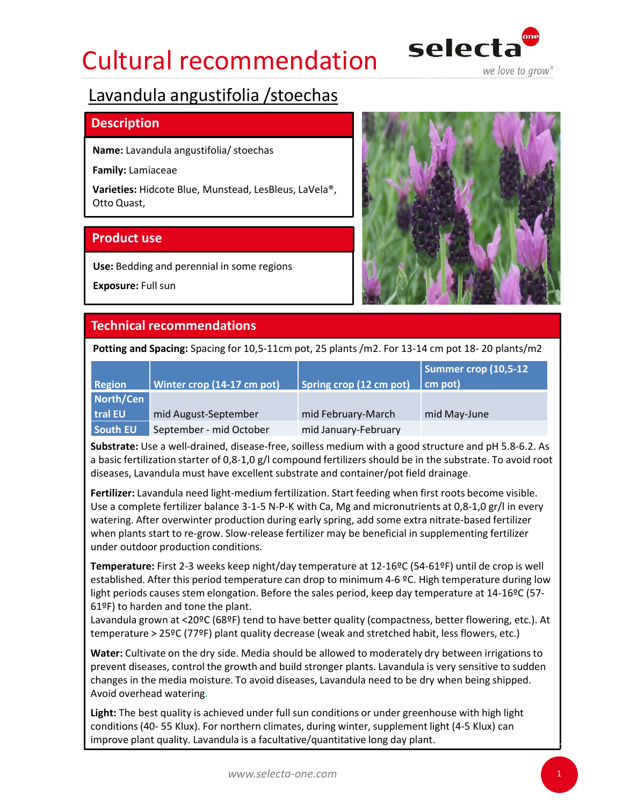## Cultural recommendation selecta



### **Description**

Name: Lavandula angustifolia/ stoechas

Family: Lamiaceae



| Otto Quast,          | Varieties: Hidcote Blue, Munstead, LesBleus, LaVela®,                                                                                                                                                                                                                                                                                  |                         |                                 |
|----------------------|----------------------------------------------------------------------------------------------------------------------------------------------------------------------------------------------------------------------------------------------------------------------------------------------------------------------------------------|-------------------------|---------------------------------|
| <b>Product use</b>   |                                                                                                                                                                                                                                                                                                                                        |                         |                                 |
| Exposure: Full sun   | Use: Bedding and perennial in some regions                                                                                                                                                                                                                                                                                             |                         |                                 |
|                      | <b>Technical recommendations</b>                                                                                                                                                                                                                                                                                                       |                         |                                 |
|                      | Potting and Spacing: Spacing for 10,5-11cm pot, 25 plants /m2. For 13-14 cm pot 18-20 plants/m2                                                                                                                                                                                                                                        |                         |                                 |
| <b>Region</b>        | Winter crop (14-17 cm pot)                                                                                                                                                                                                                                                                                                             | Spring crop (12 cm pot) | Summer crop (10,5-12<br>cm pot) |
| North/Cen<br>tral EU | mid August-September                                                                                                                                                                                                                                                                                                                   | mid February-March      | mid May-June                    |
| South EU             | September - mid October<br>Substrate: Use a well-drained, disease-free, soilless medium with a good structure and pH 5.8-6.2. As<br>a basic fertilization starter of 0,8-1,0 g/l compound fertilizers should be in the substrate. To avoid root<br>diseases, Lavandula must have excellent substrate and container/pot field drainage. | mid January-February    |                                 |
|                      | Fertilizer: Lavandula need light-medium fertilization. Start feeding when first roots become visible.<br>Use a complete fertilizer belance $2.1$ E N D K with Ca. Ma and micronutriants of 0.8.1 O $\sigma$ (in over $\mu$                                                                                                             |                         |                                 |

Fertilizer: Lavandula need light-medium fertilization. Start feeding when first roots become visible. Use a complete fertilizer balance 3-1-5 N-P-K with Ca, Mg and micronutrients at 0,8-1,0 gr/l in every watering. After overwinter production during early spring, add some extra nitrate-based fertilizer when plants start to re-grow. Slow-release fertilizer may be beneficial in supplementing fertilizer under outdoor production conditions. diseases, Lavandula must have excellent substrate and container/pot field drainage.<br> **Evenilizer:** Lavandula need light-medium fertilization. Start feeding when first roots become visible.<br>
Use a complete fertilizer balanc

Temperature: First 2-3 weeks keep night/day temperature at 12-16ºC (54-61ºF) until de crop is well established. After this period temperature can drop to minimum 4-6 ºC. High temperature during low light periods causes stem elongation. Before the sales period, keep day temperature at 14-16ºC (57-61ºF) to harden and tone the plant.

Lavandula grown at <20ºC (68ºF) tend to have better quality (compactness, better flowering, etc.). At temperature > 25ºC (77ºF) plant quality decrease (weak and stretched habit, less flowers, etc.)

Water: Cultivate on the dry side. Media should be allowed to moderately dry between irrigations to prevent diseases, control the growth and build stronger plants. Lavandula is very sensitive to sudden changes in the media moisture. To avoid diseases, Lavandula need to be dry when being shipped. Avoid overhead watering.

Light: The best quality is achieved under full sun conditions or under greenhouse with high light improve plant quality. Lavandula is a facultative/quantitative long day plant.

1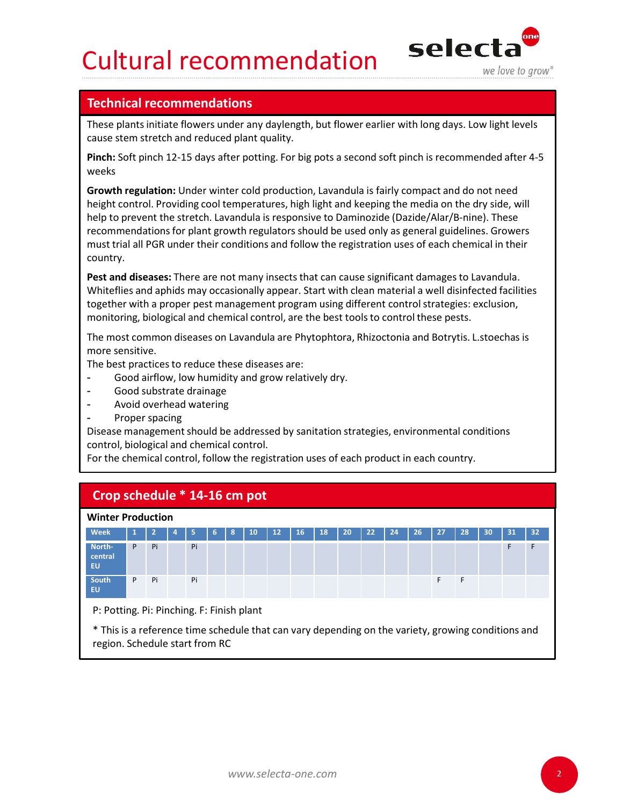## Cultural recommendation selecta



**Cultural recommendation**<br>Technical recommendations<br>These plants initiate flowers under any daylength, but flower earlier with long days. Lo<br>Pinch: Soft pinch 12-15 days after potting. For big pots a second soft pinch is r These plants initiate flowers under any daylength, but flower earlier with long days. Low light levels cause stem stretch and reduced plant quality.

Pinch: Soft pinch 12-15 days after potting. For big pots a second soft pinch is recommended after 4-5 weeks

Growth regulation: Under winter cold production, Lavandula is fairly compact and do not need height control. Providing cool temperatures, high light and keeping the media on the dry side, will **Cultural recommendations**<br>
Technical recommendations<br>
These plants initiate flowers under any daylength, but flower earlier with long days. Low light levels<br>
cause stem stretch and reduced plant quality.<br>
Pinch: Soft pinc recommendations for plant growth regulators should be used only as general guidelines. Growers must trial all PGR under their conditions and follow the registration uses of each chemical in their country. **Cultural recommendations**<br> **Selectionical recommendations**<br>
Technical recommendations<br>
The phane similaties flowers under any day depend to the original cause see the metric and reduced plant quality.<br>
Pinch: Soft pinch 1 **Technical recommendations**<br>These plants initiate flowers under any daylength, but flower earlier with long days. Low light levels<br>cause stem stretch and reduced plant quality.<br>**Pinch:** Soft pinch 12-15 days after potting.

- Good airflow, low humidity and grow relatively dry.
- Good substrate drainage
- Avoid overhead watering
- Proper spacing

| Pest and diseases: There are not many insects that can cause significant damages to Lavandula.<br>Whiteflies and aphids may occasionally appear. Start with clean material a well disinfected facilities<br>together with a proper pest management program using different control strategies: exclusion,<br>monitoring, biological and chemical control, are the best tools to control these pests.<br>The most common diseases on Lavandula are Phytophtora, Rhizoctonia and Botrytis. L.stoechas is<br>more sensitive.<br>The best practices to reduce these diseases are:<br>Good airflow, low humidity and grow relatively dry.<br>Good substrate drainage<br>Avoid overhead watering<br>Proper spacing<br>Disease management should be addressed by sanitation strategies, environmental conditions<br>control, biological and chemical control.<br>For the chemical control, follow the registration uses of each product in each country.<br>Crop schedule * 14-16 cm pot<br><b>Winter Production</b><br><b>Week</b><br>32 <sub>2</sub><br>31<br>North-<br>central<br>EU.<br>South<br>Pi<br>Pi<br>F<br>P<br>F<br>EU.<br>P: Potting. Pi: Pinching. F: Finish plant<br>* This is a reference time schedule that can vary depending on the variety, growing conditions and<br>region. Schedule start from RC | must trial all PGR under their conditions and follow the registration uses of each chemical in their<br>country. |  |  |  |  |  |  |  |  |  |  |
|-------------------------------------------------------------------------------------------------------------------------------------------------------------------------------------------------------------------------------------------------------------------------------------------------------------------------------------------------------------------------------------------------------------------------------------------------------------------------------------------------------------------------------------------------------------------------------------------------------------------------------------------------------------------------------------------------------------------------------------------------------------------------------------------------------------------------------------------------------------------------------------------------------------------------------------------------------------------------------------------------------------------------------------------------------------------------------------------------------------------------------------------------------------------------------------------------------------------------------------------------------------------------------------------------------------------|------------------------------------------------------------------------------------------------------------------|--|--|--|--|--|--|--|--|--|--|
|                                                                                                                                                                                                                                                                                                                                                                                                                                                                                                                                                                                                                                                                                                                                                                                                                                                                                                                                                                                                                                                                                                                                                                                                                                                                                                                   |                                                                                                                  |  |  |  |  |  |  |  |  |  |  |
|                                                                                                                                                                                                                                                                                                                                                                                                                                                                                                                                                                                                                                                                                                                                                                                                                                                                                                                                                                                                                                                                                                                                                                                                                                                                                                                   |                                                                                                                  |  |  |  |  |  |  |  |  |  |  |
|                                                                                                                                                                                                                                                                                                                                                                                                                                                                                                                                                                                                                                                                                                                                                                                                                                                                                                                                                                                                                                                                                                                                                                                                                                                                                                                   |                                                                                                                  |  |  |  |  |  |  |  |  |  |  |
|                                                                                                                                                                                                                                                                                                                                                                                                                                                                                                                                                                                                                                                                                                                                                                                                                                                                                                                                                                                                                                                                                                                                                                                                                                                                                                                   |                                                                                                                  |  |  |  |  |  |  |  |  |  |  |
|                                                                                                                                                                                                                                                                                                                                                                                                                                                                                                                                                                                                                                                                                                                                                                                                                                                                                                                                                                                                                                                                                                                                                                                                                                                                                                                   |                                                                                                                  |  |  |  |  |  |  |  |  |  |  |
|                                                                                                                                                                                                                                                                                                                                                                                                                                                                                                                                                                                                                                                                                                                                                                                                                                                                                                                                                                                                                                                                                                                                                                                                                                                                                                                   |                                                                                                                  |  |  |  |  |  |  |  |  |  |  |
|                                                                                                                                                                                                                                                                                                                                                                                                                                                                                                                                                                                                                                                                                                                                                                                                                                                                                                                                                                                                                                                                                                                                                                                                                                                                                                                   |                                                                                                                  |  |  |  |  |  |  |  |  |  |  |
|                                                                                                                                                                                                                                                                                                                                                                                                                                                                                                                                                                                                                                                                                                                                                                                                                                                                                                                                                                                                                                                                                                                                                                                                                                                                                                                   |                                                                                                                  |  |  |  |  |  |  |  |  |  |  |